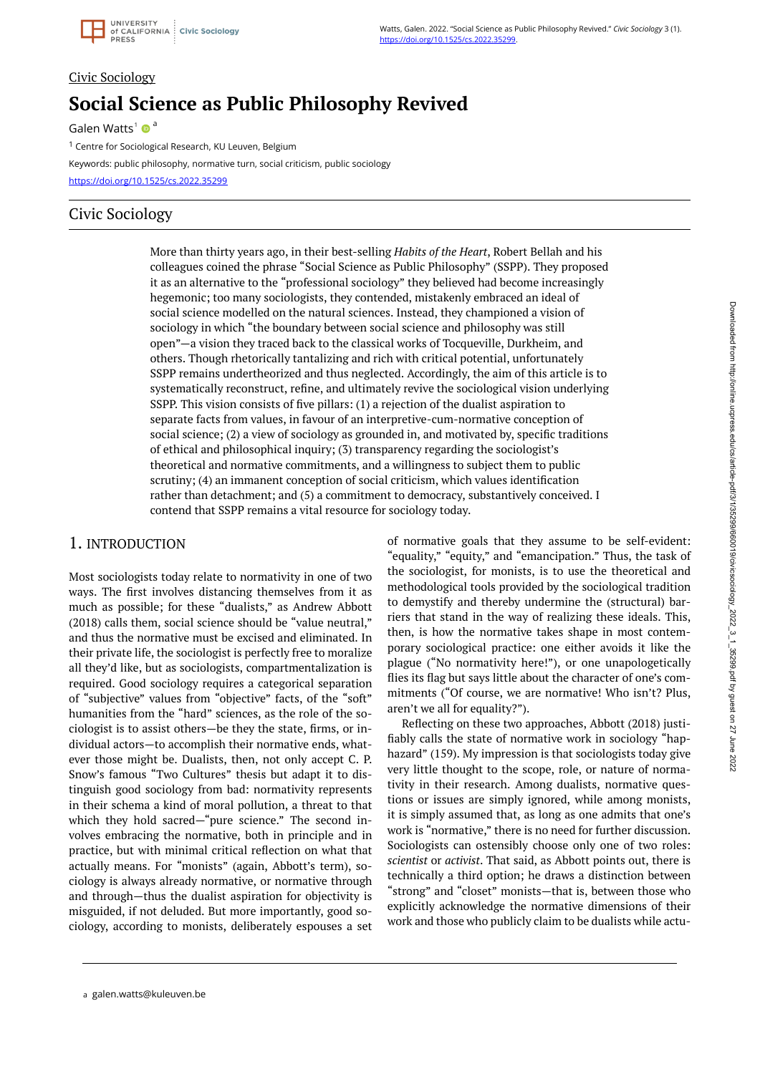# Civic Sociology **Social Science as Public Philosophy Revived**

Galen Watts<sup>1</sup>  $\bullet$ <sup>a</sup>

<sup>1</sup> Centre for Sociological Research, KU Leuven, Belgium

Keywords: public philosophy, normative turn, social criticism, public sociology <https://doi.org/10.1525/cs.2022.35299>

## Civic Sociology

More than thirty years ago, in their best-selling *Habits of the Heart*, Robert Bellah and his colleagues coined the phrase "Social Science as Public Philosophy" (SSPP). They proposed it as an alternative to the "professional sociology" they believed had become increasingly hegemonic; too many sociologists, they contended, mistakenly embraced an ideal of social science modelled on the natural sciences. Instead, they championed a vision of sociology in which "the boundary between social science and philosophy was still open"—a vision they traced back to the classical works of Tocqueville, Durkheim, and others. Though rhetorically tantalizing and rich with critical potential, unfortunately SSPP remains undertheorized and thus neglected. Accordingly, the aim of this article is to systematically reconstruct, refine, and ultimately revive the sociological vision underlying SSPP. This vision consists of five pillars: (1) a rejection of the dualist aspiration to separate facts from values, in favour of an interpretive-cum-normative conception of social science; (2) a view of sociology as grounded in, and motivated by, specific traditions of ethical and philosophical inquiry; (3) transparency regarding the sociologist's theoretical and normative commitments, and a willingness to subject them to public scrutiny; (4) an immanent conception of social criticism, which values identification rather than detachment; and (5) a commitment to democracy, substantively conceived. I contend that SSPP remains a vital resource for sociology today.

## 1. INTRODUCTION

Most sociologists today relate to normativity in one of two ways. The first involves distancing themselves from it as much as possible; for these "dualists," as Andrew Abbott (2018) calls them, social science should be "value neutral," and thus the normative must be excised and eliminated. In their private life, the sociologist is perfectly free to moralize all they'd like, but as sociologists, compartmentalization is required. Good sociology requires a categorical separation of "subjective" values from "objective" facts, of the "soft" humanities from the "hard" sciences, as the role of the sociologist is to assist others—be they the state, firms, or individual actors—to accomplish their normative ends, whatever those might be. Dualists, then, not only accept C. P. Snow's famous "Two Cultures" thesis but adapt it to distinguish good sociology from bad: normativity represents in their schema a kind of moral pollution, a threat to that which they hold sacred—"pure science." The second involves embracing the normative, both in principle and in practice, but with minimal critical reflection on what that actually means. For "monists" (again, Abbott's term), sociology is always already normative, or normative through and through—thus the dualist aspiration for objectivity is misguided, if not deluded. But more importantly, good sociology, according to monists, deliberately espouses a set of normative goals that they assume to be self-evident: "equality," "equity," and "emancipation." Thus, the task of the sociologist, for monists, is to use the theoretical and methodological tools provided by the sociological tradition to demystify and thereby undermine the (structural) barriers that stand in the way of realizing these ideals. This, then, is how the normative takes shape in most contemporary sociological practice: one either avoids it like the plague ("No normativity here!"), or one unapologetically flies its flag but says little about the character of one's commitments ("Of course, we are normative! Who isn't? Plus, aren't we all for equality?").

Reflecting on these two approaches, Abbott (2018) justifiably calls the state of normative work in sociology "haphazard" (159). My impression is that sociologists today give very little thought to the scope, role, or nature of normativity in their research. Among dualists, normative questions or issues are simply ignored, while among monists, it is simply assumed that, as long as one admits that one's work is "normative," there is no need for further discussion. Sociologists can ostensibly choose only one of two roles: *scientist* or *activist*. That said, as Abbott points out, there is technically a third option; he draws a distinction between "strong" and "closet" monists—that is, between those who explicitly acknowledge the normative dimensions of their work and those who publicly claim to be dualists while actu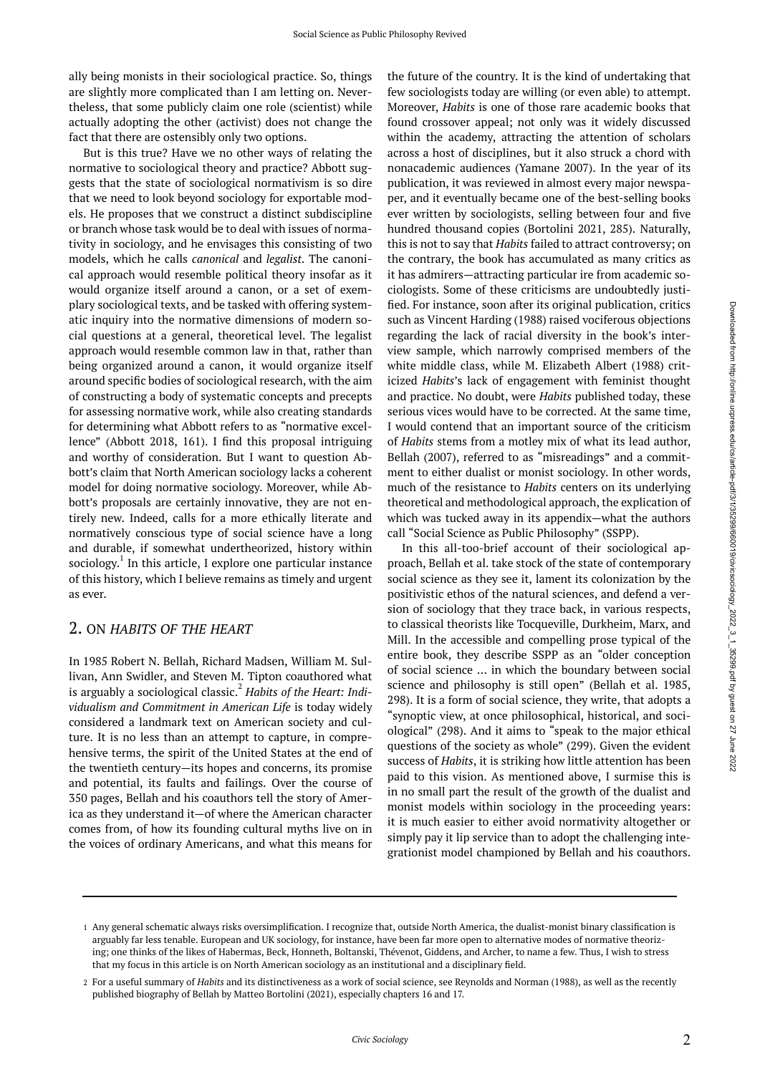ally being monists in their sociological practice. So, things are slightly more complicated than I am letting on. Nevertheless, that some publicly claim one role (scientist) while actually adopting the other (activist) does not change the fact that there are ostensibly only two options.

But is this true? Have we no other ways of relating the normative to sociological theory and practice? Abbott suggests that the state of sociological normativism is so dire that we need to look beyond sociology for exportable models. He proposes that we construct a distinct subdiscipline or branch whose task would be to deal with issues of normativity in sociology, and he envisages this consisting of two models, which he calls *canonical* and *legalist*. The canonical approach would resemble political theory insofar as it would organize itself around a canon, or a set of exemplary sociological texts, and be tasked with offering systematic inquiry into the normative dimensions of modern social questions at a general, theoretical level. The legalist approach would resemble common law in that, rather than being organized around a canon, it would organize itself around specific bodies of sociological research, with the aim of constructing a body of systematic concepts and precepts for assessing normative work, while also creating standards for determining what Abbott refers to as "normative excellence" (Abbott 2018, 161). I find this proposal intriguing and worthy of consideration. But I want to question Abbott's claim that North American sociology lacks a coherent model for doing normative sociology. Moreover, while Abbott's proposals are certainly innovative, they are not entirely new. Indeed, calls for a more ethically literate and normatively conscious type of social science have a long and durable, if somewhat undertheorized, history within sociology.<sup>1</sup> In this article, I explore one particular instance of this history, which I believe remains as timely and urgent as ever.

#### 2. ON *HABITS OF THE HEART*

In 1985 Robert N. Bellah, Richard Madsen, William M. Sullivan, Ann Swidler, and Steven M. Tipton coauthored what is arguably a sociological classic.<sup>2</sup> Habits of the Heart: Indi*vidualism and Commitment in American Life* is today widely considered a landmark text on American society and culture. It is no less than an attempt to capture, in comprehensive terms, the spirit of the United States at the end of the twentieth century—its hopes and concerns, its promise and potential, its faults and failings. Over the course of 350 pages, Bellah and his coauthors tell the story of America as they understand it—of where the American character comes from, of how its founding cultural myths live on in the voices of ordinary Americans, and what this means for

the future of the country. It is the kind of undertaking that few sociologists today are willing (or even able) to attempt. Moreover, *Habits* is one of those rare academic books that found crossover appeal; not only was it widely discussed within the academy, attracting the attention of scholars across a host of disciplines, but it also struck a chord with nonacademic audiences (Yamane 2007). In the year of its publication, it was reviewed in almost every major newspaper, and it eventually became one of the best-selling books ever written by sociologists, selling between four and five hundred thousand copies (Bortolini 2021, 285). Naturally, this is not to say that *Habits* failed to attract controversy; on the contrary, the book has accumulated as many critics as it has admirers—attracting particular ire from academic sociologists. Some of these criticisms are undoubtedly justified. For instance, soon after its original publication, critics such as Vincent Harding (1988) raised vociferous objections regarding the lack of racial diversity in the book's interview sample, which narrowly comprised members of the white middle class, while M. Elizabeth Albert (1988) criticized *Habits*'s lack of engagement with feminist thought and practice. No doubt, were *Habits* published today, these serious vices would have to be corrected. At the same time, I would contend that an important source of the criticism of *Habits* stems from a motley mix of what its lead author, Bellah (2007), referred to as "misreadings" and a commitment to either dualist or monist sociology. In other words, much of the resistance to *Habits* centers on its underlying theoretical and methodological approach, the explication of which was tucked away in its appendix—what the authors call "Social Science as Public Philosophy" (SSPP).

In this all-too-brief account of their sociological approach, Bellah et al. take stock of the state of contemporary social science as they see it, lament its colonization by the positivistic ethos of the natural sciences, and defend a version of sociology that they trace back, in various respects, to classical theorists like Tocqueville, Durkheim, Marx, and Mill. In the accessible and compelling prose typical of the entire book, they describe SSPP as an "older conception of social science … in which the boundary between social science and philosophy is still open" (Bellah et al. 1985, 298). It is a form of social science, they write, that adopts a "synoptic view, at once philosophical, historical, and sociological" (298). And it aims to "speak to the major ethical questions of the society as whole" (299). Given the evident success of *Habits*, it is striking how little attention has been paid to this vision. As mentioned above, I surmise this is in no small part the result of the growth of the dualist and monist models within sociology in the proceeding years: it is much easier to either avoid normativity altogether or simply pay it lip service than to adopt the challenging integrationist model championed by Bellah and his coauthors.

<sup>1</sup> Any general schematic always risks oversimplification. I recognize that, outside North America, the dualist-monist binary classification is arguably far less tenable. European and UK sociology, for instance, have been far more open to alternative modes of normative theorizing; one thinks of the likes of Habermas, Beck, Honneth, Boltanski, Thévenot, Giddens, and Archer, to name a few. Thus, I wish to stress that my focus in this article is on North American sociology as an institutional and a disciplinary field.

For a useful summary of *Habits* and its distinctiveness as a work of social science, see Reynolds and Norman (1988), as well as the recently 2 published biography of Bellah by Matteo Bortolini (2021), especially chapters 16 and 17.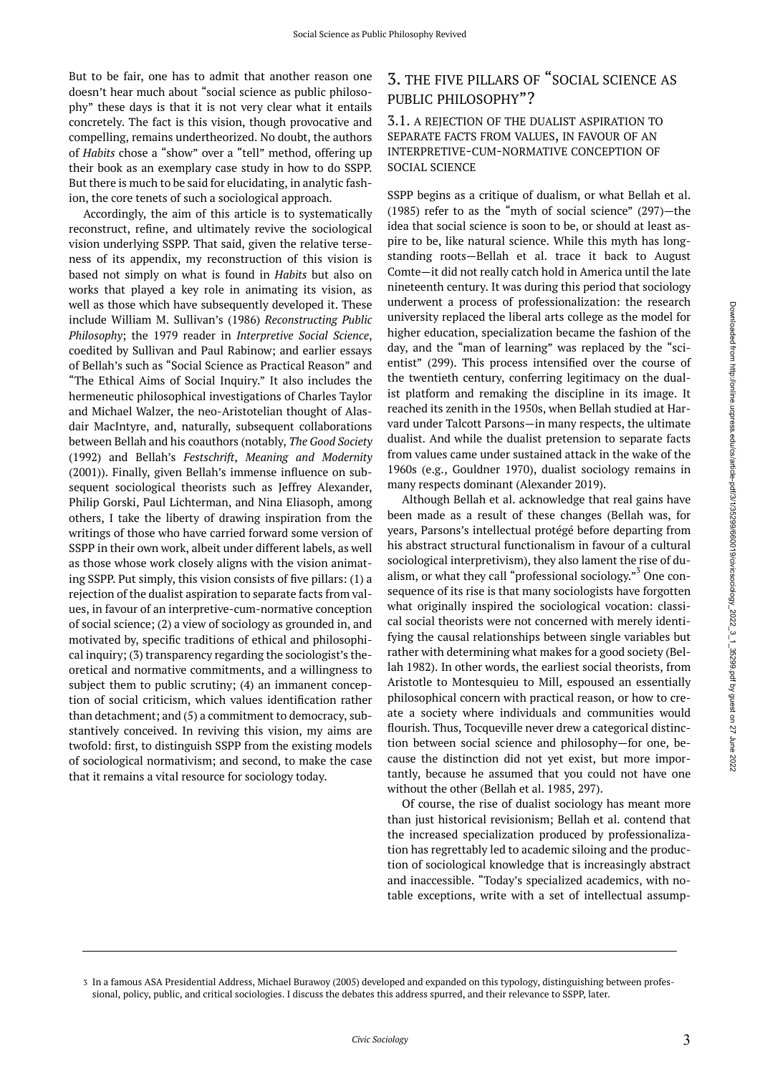But to be fair, one has to admit that another reason one doesn't hear much about "social science as public philosophy" these days is that it is not very clear what it entails concretely. The fact is this vision, though provocative and compelling, remains undertheorized. No doubt, the authors of *Habits* chose a "show" over a "tell" method, offering up their book as an exemplary case study in how to do SSPP. But there is much to be said for elucidating, in analytic fashion, the core tenets of such a sociological approach.

Accordingly, the aim of this article is to systematically reconstruct, refine, and ultimately revive the sociological vision underlying SSPP. That said, given the relative terseness of its appendix, my reconstruction of this vision is based not simply on what is found in *Habits* but also on works that played a key role in animating its vision, as well as those which have subsequently developed it. These include William M. Sullivan's (1986) *Reconstructing Public Philosophy*; the 1979 reader in *Interpretive Social Science*, coedited by Sullivan and Paul Rabinow; and earlier essays of Bellah's such as "Social Science as Practical Reason" and "The Ethical Aims of Social Inquiry." It also includes the hermeneutic philosophical investigations of Charles Taylor and Michael Walzer, the neo-Aristotelian thought of Alasdair MacIntyre, and, naturally, subsequent collaborations between Bellah and his coauthors (notably, *The Good Society*  (1992) and Bellah's *Festschrift*, *Meaning and Modernity*  (2001)). Finally, given Bellah's immense influence on subsequent sociological theorists such as Jeffrey Alexander, Philip Gorski, Paul Lichterman, and Nina Eliasoph, among others, I take the liberty of drawing inspiration from the writings of those who have carried forward some version of SSPP in their own work, albeit under different labels, as well as those whose work closely aligns with the vision animating SSPP. Put simply, this vision consists of five pillars: (1) a rejection of the dualist aspiration to separate facts from values, in favour of an interpretive-cum-normative conception of social science; (2) a view of sociology as grounded in, and motivated by, specific traditions of ethical and philosophical inquiry; (3) transparency regarding the sociologist's theoretical and normative commitments, and a willingness to subject them to public scrutiny; (4) an immanent conception of social criticism, which values identification rather than detachment; and (5) a commitment to democracy, substantively conceived. In reviving this vision, my aims are twofold: first, to distinguish SSPP from the existing models of sociological normativism; and second, to make the case that it remains a vital resource for sociology today.

## 3. THE FIVE PILLARS OF "SOCIAL SCIENCE AS PUBLIC PHILOSOPHY"?

3.1. A REJECTION OF THE DUALIST ASPIRATION TO SEPARATE FACTS FROM VALUES, IN FAVOUR OF AN INTERPRETIVE-CUM-NORMATIVE CONCEPTION OF SOCIAL SCIENCE

SSPP begins as a critique of dualism, or what Bellah et al. (1985) refer to as the "myth of social science" (297)—the idea that social science is soon to be, or should at least aspire to be, like natural science. While this myth has longstanding roots—Bellah et al. trace it back to August Comte—it did not really catch hold in America until the late nineteenth century. It was during this period that sociology underwent a process of professionalization: the research university replaced the liberal arts college as the model for higher education, specialization became the fashion of the day, and the "man of learning" was replaced by the "scientist" (299). This process intensified over the course of the twentieth century, conferring legitimacy on the dualist platform and remaking the discipline in its image. It reached its zenith in the 1950s, when Bellah studied at Harvard under Talcott Parsons—in many respects, the ultimate dualist. And while the dualist pretension to separate facts from values came under sustained attack in the wake of the 1960s (e.g., Gouldner 1970), dualist sociology remains in many respects dominant (Alexander 2019).

Although Bellah et al. acknowledge that real gains have been made as a result of these changes (Bellah was, for years, Parsons's intellectual protégé before departing from his abstract structural functionalism in favour of a cultural sociological interpretivism), they also lament the rise of dualism, or what they call "professional sociology."<sup>3</sup> One consequence of its rise is that many sociologists have forgotten what originally inspired the sociological vocation: classical social theorists were not concerned with merely identifying the causal relationships between single variables but rather with determining what makes for a good society (Bellah 1982). In other words, the earliest social theorists, from Aristotle to Montesquieu to Mill, espoused an essentially philosophical concern with practical reason, or how to create a society where individuals and communities would flourish. Thus, Tocqueville never drew a categorical distinction between social science and philosophy—for one, because the distinction did not yet exist, but more importantly, because he assumed that you could not have one without the other (Bellah et al. 1985, 297).

Of course, the rise of dualist sociology has meant more than just historical revisionism; Bellah et al. contend that the increased specialization produced by professionalization has regrettably led to academic siloing and the production of sociological knowledge that is increasingly abstract and inaccessible. "Today's specialized academics, with notable exceptions, write with a set of intellectual assump-

<sup>3</sup> In a famous ASA Presidential Address, Michael Burawoy (2005) developed and expanded on this typology, distinguishing between professional, policy, public, and critical sociologies. I discuss the debates this address spurred, and their relevance to SSPP, later.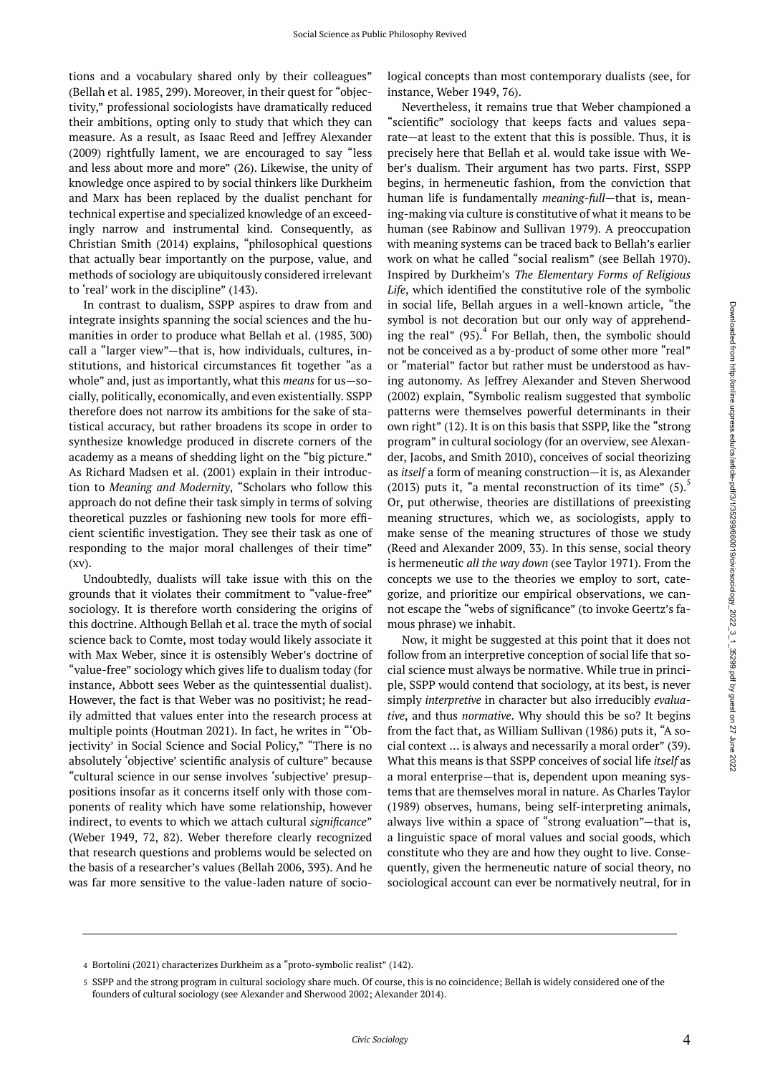tions and a vocabulary shared only by their colleagues" (Bellah et al. 1985, 299). Moreover, in their quest for "objectivity," professional sociologists have dramatically reduced their ambitions, opting only to study that which they can measure. As a result, as Isaac Reed and Jeffrey Alexander (2009) rightfully lament, we are encouraged to say "less and less about more and more" (26). Likewise, the unity of knowledge once aspired to by social thinkers like Durkheim and Marx has been replaced by the dualist penchant for technical expertise and specialized knowledge of an exceedingly narrow and instrumental kind. Consequently, as Christian Smith (2014) explains, "philosophical questions that actually bear importantly on the purpose, value, and methods of sociology are ubiquitously considered irrelevant to 'real' work in the discipline" (143).

In contrast to dualism, SSPP aspires to draw from and integrate insights spanning the social sciences and the humanities in order to produce what Bellah et al. (1985, 300) call a "larger view"—that is, how individuals, cultures, institutions, and historical circumstances fit together "as a whole" and, just as importantly, what this *means* for us—socially, politically, economically, and even existentially. SSPP therefore does not narrow its ambitions for the sake of statistical accuracy, but rather broadens its scope in order to synthesize knowledge produced in discrete corners of the academy as a means of shedding light on the "big picture." As Richard Madsen et al. (2001) explain in their introduction to *Meaning and Modernity*, "Scholars who follow this approach do not define their task simply in terms of solving theoretical puzzles or fashioning new tools for more efficient scientific investigation. They see their task as one of responding to the major moral challenges of their time" (xv).

Undoubtedly, dualists will take issue with this on the grounds that it violates their commitment to "value-free" sociology. It is therefore worth considering the origins of this doctrine. Although Bellah et al. trace the myth of social science back to Comte, most today would likely associate it with Max Weber, since it is ostensibly Weber's doctrine of "value-free" sociology which gives life to dualism today (for instance, Abbott sees Weber as the quintessential dualist). However, the fact is that Weber was no positivist; he readily admitted that values enter into the research process at multiple points (Houtman 2021). In fact, he writes in "'Objectivity' in Social Science and Social Policy," "There is no absolutely 'objective' scientific analysis of culture" because "cultural science in our sense involves 'subjective' presuppositions insofar as it concerns itself only with those components of reality which have some relationship, however indirect, to events to which we attach cultural *significance*" (Weber 1949, 72, 82). Weber therefore clearly recognized that research questions and problems would be selected on the basis of a researcher's values (Bellah 2006, 393). And he was far more sensitive to the value-laden nature of sociological concepts than most contemporary dualists (see, for instance, Weber 1949, 76).

Nevertheless, it remains true that Weber championed a "scientific" sociology that keeps facts and values separate—at least to the extent that this is possible. Thus, it is precisely here that Bellah et al. would take issue with Weber's dualism. Their argument has two parts. First, SSPP begins, in hermeneutic fashion, from the conviction that human life is fundamentally *meaning-full*—that is, meaning-making via culture is constitutive of what it means to be human (see Rabinow and Sullivan 1979). A preoccupation with meaning systems can be traced back to Bellah's earlier work on what he called "social realism" (see Bellah 1970). Inspired by Durkheim's *The Elementary Forms of Religious Life*, which identified the constitutive role of the symbolic in social life, Bellah argues in a well-known article, "the symbol is not decoration but our only way of apprehending the real"  $(95)^{4}$  For Bellah, then, the symbolic should not be conceived as a by-product of some other more "real" or "material" factor but rather must be understood as having autonomy. As Jeffrey Alexander and Steven Sherwood (2002) explain, "Symbolic realism suggested that symbolic patterns were themselves powerful determinants in their own right" (12). It is on this basis that SSPP, like the "strong program" in cultural sociology (for an overview, see Alexander, Jacobs, and Smith 2010), conceives of social theorizing as *itself* a form of meaning construction—it is, as Alexander (2013) puts it, "a mental reconstruction of its time"  $(5)$ . Or, put otherwise, theories are distillations of preexisting meaning structures, which we, as sociologists, apply to make sense of the meaning structures of those we study (Reed and Alexander 2009, 33). In this sense, social theory is hermeneutic *all the way down* (see Taylor 1971). From the concepts we use to the theories we employ to sort, categorize, and prioritize our empirical observations, we cannot escape the "webs of significance" (to invoke Geertz's famous phrase) we inhabit.

Now, it might be suggested at this point that it does not follow from an interpretive conception of social life that social science must always be normative. While true in principle, SSPP would contend that sociology, at its best, is never simply *interpretive* in character but also irreducibly *evaluative*, and thus *normative*. Why should this be so? It begins from the fact that, as William Sullivan (1986) puts it, "A social context … is always and necessarily a moral order" (39). What this means is that SSPP conceives of social life *itself* as a moral enterprise—that is, dependent upon meaning systems that are themselves moral in nature. As Charles Taylor (1989) observes, humans, being self-interpreting animals, always live within a space of "strong evaluation"—that is, a linguistic space of moral values and social goods, which constitute who they are and how they ought to live. Consequently, given the hermeneutic nature of social theory, no sociological account can ever be normatively neutral, for in

<sup>4</sup> Bortolini (2021) characterizes Durkheim as a "proto-symbolic realist" (142).

SSPP and the strong program in cultural sociology share much. Of course, this is no coincidence; Bellah is widely considered one of the 5 founders of cultural sociology (see Alexander and Sherwood 2002; Alexander 2014).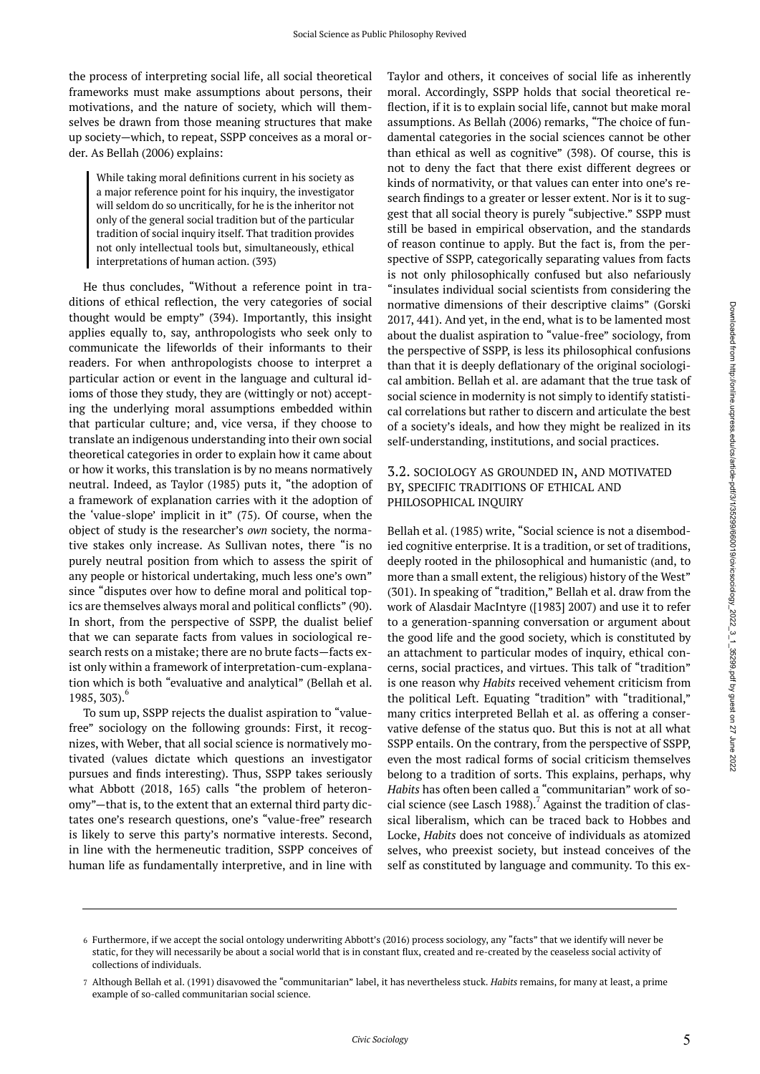the process of interpreting social life, all social theoretical frameworks must make assumptions about persons, their motivations, and the nature of society, which will themselves be drawn from those meaning structures that make up society—which, to repeat, SSPP conceives as a moral order. As Bellah (2006) explains:

While taking moral definitions current in his society as a major reference point for his inquiry, the investigator will seldom do so uncritically, for he is the inheritor not only of the general social tradition but of the particular tradition of social inquiry itself. That tradition provides not only intellectual tools but, simultaneously, ethical interpretations of human action. (393)

He thus concludes, "Without a reference point in traditions of ethical reflection, the very categories of social thought would be empty" (394). Importantly, this insight applies equally to, say, anthropologists who seek only to communicate the lifeworlds of their informants to their readers. For when anthropologists choose to interpret a particular action or event in the language and cultural idioms of those they study, they are (wittingly or not) accepting the underlying moral assumptions embedded within that particular culture; and, vice versa, if they choose to translate an indigenous understanding into their own social theoretical categories in order to explain how it came about or how it works, this translation is by no means normatively neutral. Indeed, as Taylor (1985) puts it, "the adoption of a framework of explanation carries with it the adoption of the 'value-slope' implicit in it" (75). Of course, when the object of study is the researcher's *own* society, the normative stakes only increase. As Sullivan notes, there "is no purely neutral position from which to assess the spirit of any people or historical undertaking, much less one's own" since "disputes over how to define moral and political topics are themselves always moral and political conflicts" (90). In short, from the perspective of SSPP, the dualist belief that we can separate facts from values in sociological research rests on a mistake; there are no brute facts—facts exist only within a framework of interpretation-cum-explanation which is both "evaluative and analytical" (Bellah et al. 1985, 303). 6

To sum up, SSPP rejects the dualist aspiration to "valuefree" sociology on the following grounds: First, it recognizes, with Weber, that all social science is normatively motivated (values dictate which questions an investigator pursues and finds interesting). Thus, SSPP takes seriously what Abbott (2018, 165) calls "the problem of heteronomy"—that is, to the extent that an external third party dictates one's research questions, one's "value-free" research is likely to serve this party's normative interests. Second, in line with the hermeneutic tradition, SSPP conceives of human life as fundamentally interpretive, and in line with

Taylor and others, it conceives of social life as inherently moral. Accordingly, SSPP holds that social theoretical reflection, if it is to explain social life, cannot but make moral assumptions. As Bellah (2006) remarks, "The choice of fundamental categories in the social sciences cannot be other than ethical as well as cognitive" (398). Of course, this is not to deny the fact that there exist different degrees or kinds of normativity, or that values can enter into one's research findings to a greater or lesser extent. Nor is it to suggest that all social theory is purely "subjective." SSPP must still be based in empirical observation, and the standards of reason continue to apply. But the fact is, from the perspective of SSPP, categorically separating values from facts is not only philosophically confused but also nefariously "insulates individual social scientists from considering the normative dimensions of their descriptive claims" (Gorski 2017, 441). And yet, in the end, what is to be lamented most about the dualist aspiration to "value-free" sociology, from the perspective of SSPP, is less its philosophical confusions than that it is deeply deflationary of the original sociological ambition. Bellah et al. are adamant that the true task of social science in modernity is not simply to identify statistical correlations but rather to discern and articulate the best of a society's ideals, and how they might be realized in its self-understanding, institutions, and social practices.

#### 3.2. SOCIOLOGY AS GROUNDED IN, AND MOTIVATED BY, SPECIFIC TRADITIONS OF ETHICAL AND PHILOSOPHICAL INQUIRY

Bellah et al. (1985) write, "Social science is not a disembodied cognitive enterprise. It is a tradition, or set of traditions, deeply rooted in the philosophical and humanistic (and, to more than a small extent, the religious) history of the West" (301). In speaking of "tradition," Bellah et al. draw from the work of Alasdair MacIntyre ([1983] 2007) and use it to refer to a generation-spanning conversation or argument about the good life and the good society, which is constituted by an attachment to particular modes of inquiry, ethical concerns, social practices, and virtues. This talk of "tradition" is one reason why *Habits* received vehement criticism from the political Left. Equating "tradition" with "traditional," many critics interpreted Bellah et al. as offering a conservative defense of the status quo. But this is not at all what SSPP entails. On the contrary, from the perspective of SSPP, even the most radical forms of social criticism themselves belong to a tradition of sorts. This explains, perhaps, why *Habits* has often been called a "communitarian" work of social science (see Lasch 1988).<sup>7</sup> Against the tradition of classical liberalism, which can be traced back to Hobbes and Locke, *Habits* does not conceive of individuals as atomized selves, who preexist society, but instead conceives of the self as constituted by language and community. To this ex-

<sup>6</sup> Furthermore, if we accept the social ontology underwriting Abbott's (2016) process sociology, any "facts" that we identify will never be static, for they will necessarily be about a social world that is in constant flux, created and re-created by the ceaseless social activity of collections of individuals.

Although Bellah et al. (1991) disavowed the "communitarian" label, it has nevertheless stuck. *Habits* remains, for many at least, a prime 7 example of so-called communitarian social science.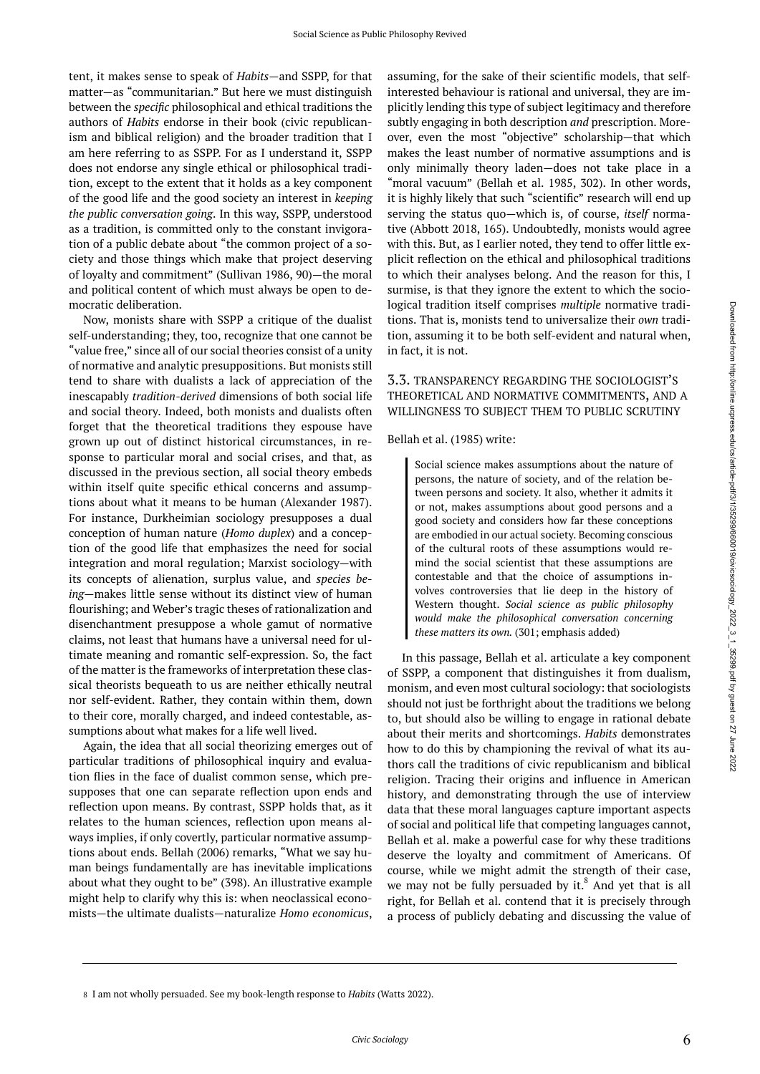tent, it makes sense to speak of *Habits*—and SSPP, for that matter—as "communitarian." But here we must distinguish between the *specific* philosophical and ethical traditions the authors of *Habits* endorse in their book (civic republicanism and biblical religion) and the broader tradition that I am here referring to as SSPP. For as I understand it, SSPP does not endorse any single ethical or philosophical tradition, except to the extent that it holds as a key component of the good life and the good society an interest in *keeping the public conversation going*. In this way, SSPP, understood as a tradition, is committed only to the constant invigoration of a public debate about "the common project of a society and those things which make that project deserving of loyalty and commitment" (Sullivan 1986, 90)—the moral and political content of which must always be open to democratic deliberation.

Now, monists share with SSPP a critique of the dualist self-understanding; they, too, recognize that one cannot be "value free," since all of our social theories consist of a unity of normative and analytic presuppositions. But monists still tend to share with dualists a lack of appreciation of the inescapably *tradition-derived* dimensions of both social life and social theory. Indeed, both monists and dualists often forget that the theoretical traditions they espouse have grown up out of distinct historical circumstances, in response to particular moral and social crises, and that, as discussed in the previous section, all social theory embeds within itself quite specific ethical concerns and assumptions about what it means to be human (Alexander 1987). For instance, Durkheimian sociology presupposes a dual conception of human nature (*Homo duplex*) and a conception of the good life that emphasizes the need for social integration and moral regulation; Marxist sociology—with its concepts of alienation, surplus value, and *species being*—makes little sense without its distinct view of human flourishing; and Weber's tragic theses of rationalization and disenchantment presuppose a whole gamut of normative claims, not least that humans have a universal need for ultimate meaning and romantic self-expression. So, the fact of the matter is the frameworks of interpretation these classical theorists bequeath to us are neither ethically neutral nor self-evident. Rather, they contain within them, down to their core, morally charged, and indeed contestable, assumptions about what makes for a life well lived.

Again, the idea that all social theorizing emerges out of particular traditions of philosophical inquiry and evaluation flies in the face of dualist common sense, which presupposes that one can separate reflection upon ends and reflection upon means. By contrast, SSPP holds that, as it relates to the human sciences, reflection upon means always implies, if only covertly, particular normative assumptions about ends. Bellah (2006) remarks, "What we say human beings fundamentally are has inevitable implications about what they ought to be" (398). An illustrative example might help to clarify why this is: when neoclassical economists—the ultimate dualists—naturalize *Homo economicus*,

assuming, for the sake of their scientific models, that selfinterested behaviour is rational and universal, they are implicitly lending this type of subject legitimacy and therefore subtly engaging in both description *and* prescription. Moreover, even the most "objective" scholarship—that which makes the least number of normative assumptions and is only minimally theory laden—does not take place in a "moral vacuum" (Bellah et al. 1985, 302). In other words, it is highly likely that such "scientific" research will end up serving the status quo—which is, of course, *itself* normative (Abbott 2018, 165). Undoubtedly, monists would agree with this. But, as I earlier noted, they tend to offer little explicit reflection on the ethical and philosophical traditions to which their analyses belong. And the reason for this, I surmise, is that they ignore the extent to which the sociological tradition itself comprises *multiple* normative traditions. That is, monists tend to universalize their *own* tradition, assuming it to be both self-evident and natural when, in fact, it is not.

#### 3.3. TRANSPARENCY REGARDING THE SOCIOLOGIST'S THEORETICAL AND NORMATIVE COMMITMENTS, AND A WILLINGNESS TO SUBJECT THEM TO PUBLIC SCRUTINY

Bellah et al. (1985) write:

Social science makes assumptions about the nature of persons, the nature of society, and of the relation between persons and society. It also, whether it admits it or not, makes assumptions about good persons and a good society and considers how far these conceptions are embodied in our actual society. Becoming conscious of the cultural roots of these assumptions would remind the social scientist that these assumptions are contestable and that the choice of assumptions involves controversies that lie deep in the history of Western thought. *Social science as public philosophy would make the philosophical conversation concerning these matters its own.* (301; emphasis added)

In this passage, Bellah et al. articulate a key component of SSPP, a component that distinguishes it from dualism, monism, and even most cultural sociology: that sociologists should not just be forthright about the traditions we belong to, but should also be willing to engage in rational debate about their merits and shortcomings. *Habits* demonstrates how to do this by championing the revival of what its authors call the traditions of civic republicanism and biblical religion. Tracing their origins and influence in American history, and demonstrating through the use of interview data that these moral languages capture important aspects of social and political life that competing languages cannot, Bellah et al. make a powerful case for why these traditions deserve the loyalty and commitment of Americans. Of course, while we might admit the strength of their case, we may not be fully persuaded by it. $^8$  And yet that is all right, for Bellah et al. contend that it is precisely through a process of publicly debating and discussing the value of

<sup>8</sup> I am not wholly persuaded. See my book-length response to *Habits* (Watts 2022).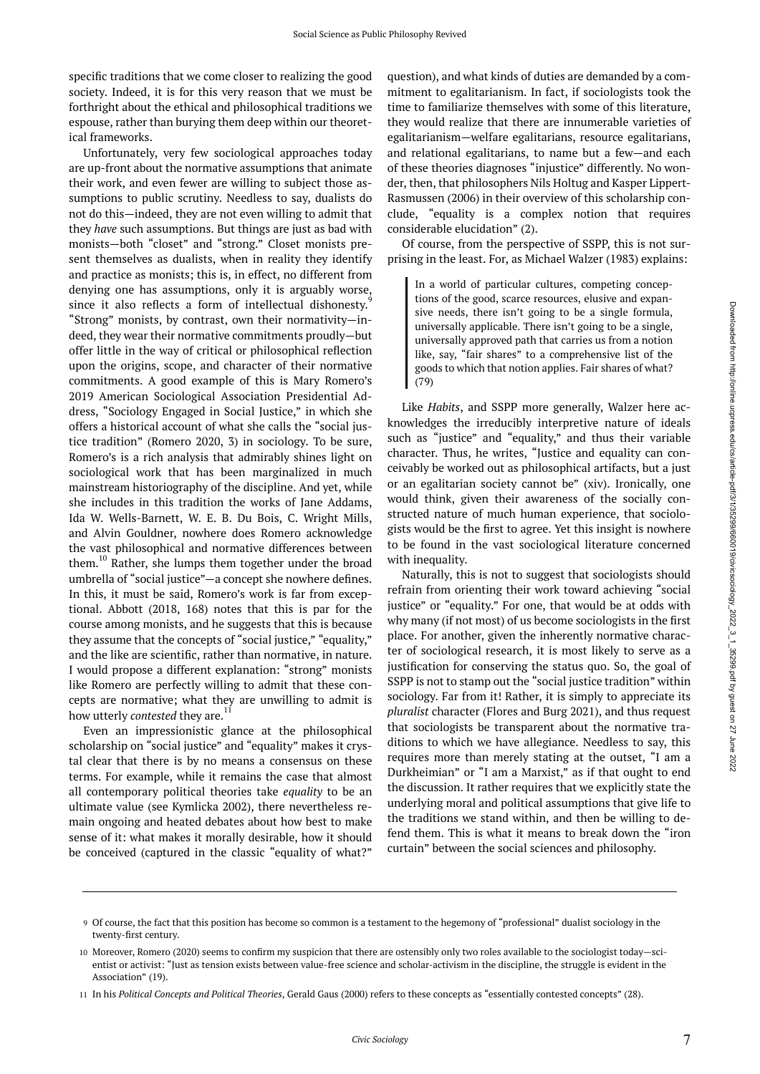specific traditions that we come closer to realizing the good society. Indeed, it is for this very reason that we must be forthright about the ethical and philosophical traditions we espouse, rather than burying them deep within our theoretical frameworks.

Unfortunately, very few sociological approaches today are up-front about the normative assumptions that animate their work, and even fewer are willing to subject those assumptions to public scrutiny. Needless to say, dualists do not do this—indeed, they are not even willing to admit that they *have* such assumptions. But things are just as bad with monists—both "closet" and "strong." Closet monists present themselves as dualists, when in reality they identify and practice as monists; this is, in effect, no different from denying one has assumptions, only it is arguably worse, since it also reflects a form of intellectual dishonesty.<sup>9</sup> "Strong" monists, by contrast, own their normativity—indeed, they wear their normative commitments proudly—but offer little in the way of critical or philosophical reflection upon the origins, scope, and character of their normative commitments. A good example of this is Mary Romero's 2019 American Sociological Association Presidential Address, "Sociology Engaged in Social Justice," in which she offers a historical account of what she calls the "social justice tradition" (Romero 2020, 3) in sociology. To be sure, Romero's is a rich analysis that admirably shines light on sociological work that has been marginalized in much mainstream historiography of the discipline. And yet, while she includes in this tradition the works of Jane Addams, Ida W. Wells-Barnett, W. E. B. Du Bois, C. Wright Mills, and Alvin Gouldner, nowhere does Romero acknowledge the vast philosophical and normative differences between them.<sup>10</sup> Rather, she lumps them together under the broad umbrella of "social justice"—a concept she nowhere defines. In this, it must be said, Romero's work is far from exceptional. Abbott (2018, 168) notes that this is par for the course among monists, and he suggests that this is because they assume that the concepts of "social justice," "equality," and the like are scientific, rather than normative, in nature. I would propose a different explanation: "strong" monists like Romero are perfectly willing to admit that these concepts are normative; what they are unwilling to admit is how utterly *contested* they are. 11

Even an impressionistic glance at the philosophical scholarship on "social justice" and "equality" makes it crystal clear that there is by no means a consensus on these terms. For example, while it remains the case that almost all contemporary political theories take *equality* to be an ultimate value (see Kymlicka 2002), there nevertheless remain ongoing and heated debates about how best to make sense of it: what makes it morally desirable, how it should be conceived (captured in the classic "equality of what?"

question), and what kinds of duties are demanded by a commitment to egalitarianism. In fact, if sociologists took the time to familiarize themselves with some of this literature, they would realize that there are innumerable varieties of egalitarianism—welfare egalitarians, resource egalitarians, and relational egalitarians, to name but a few—and each of these theories diagnoses "injustice" differently. No wonder, then, that philosophers Nils Holtug and Kasper Lippert-Rasmussen (2006) in their overview of this scholarship conclude, "equality is a complex notion that requires considerable elucidation" (2).

Of course, from the perspective of SSPP, this is not surprising in the least. For, as Michael Walzer (1983) explains:

In a world of particular cultures, competing conceptions of the good, scarce resources, elusive and expansive needs, there isn't going to be a single formula, universally applicable. There isn't going to be a single, universally approved path that carries us from a notion like, say, "fair shares" to a comprehensive list of the goods to which that notion applies. Fair shares of what? (79)

Like *Habits*, and SSPP more generally, Walzer here acknowledges the irreducibly interpretive nature of ideals such as "justice" and "equality," and thus their variable character. Thus, he writes, "Justice and equality can conceivably be worked out as philosophical artifacts, but a just or an egalitarian society cannot be" (xiv). Ironically, one would think, given their awareness of the socially constructed nature of much human experience, that sociologists would be the first to agree. Yet this insight is nowhere to be found in the vast sociological literature concerned with inequality.

Naturally, this is not to suggest that sociologists should refrain from orienting their work toward achieving "social justice" or "equality." For one, that would be at odds with why many (if not most) of us become sociologists in the first place. For another, given the inherently normative character of sociological research, it is most likely to serve as a justification for conserving the status quo. So, the goal of SSPP is not to stamp out the "social justice tradition" within sociology. Far from it! Rather, it is simply to appreciate its *pluralist* character (Flores and Burg 2021), and thus request that sociologists be transparent about the normative traditions to which we have allegiance. Needless to say, this requires more than merely stating at the outset, "I am a Durkheimian" or "I am a Marxist," as if that ought to end the discussion. It rather requires that we explicitly state the underlying moral and political assumptions that give life to the traditions we stand within, and then be willing to defend them. This is what it means to break down the "iron curtain" between the social sciences and philosophy.

Of course, the fact that this position has become so common is a testament to the hegemony of "professional" dualist sociology in the 9 twenty-first century.

<sup>10</sup> Moreover, Romero (2020) seems to confirm my suspicion that there are ostensibly only two roles available to the sociologist today—scientist or activist: "Just as tension exists between value-free science and scholar-activism in the discipline, the struggle is evident in the Association" (19).

In his *Political Concepts and Political Theories*, Gerald Gaus (2000) refers to these concepts as "essentially contested concepts" (28). 11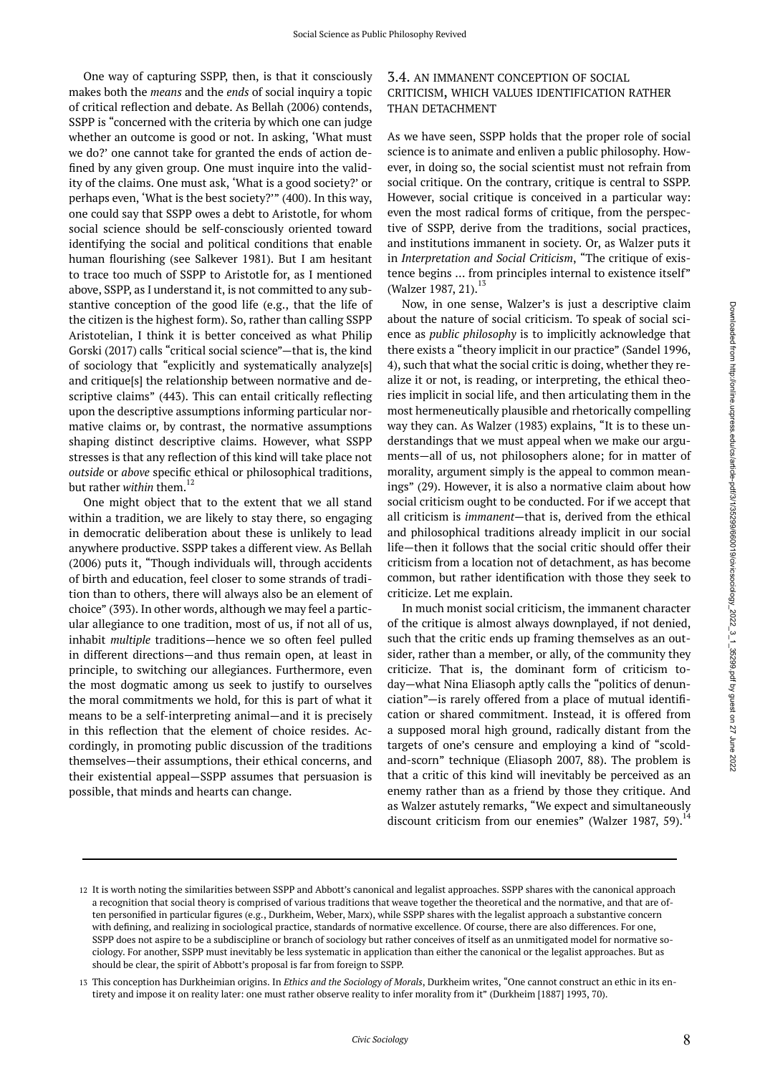One way of capturing SSPP, then, is that it consciously makes both the *means* and the *ends* of social inquiry a topic of critical reflection and debate. As Bellah (2006) contends, SSPP is "concerned with the criteria by which one can judge whether an outcome is good or not. In asking, 'What must we do?' one cannot take for granted the ends of action defined by any given group. One must inquire into the validity of the claims. One must ask, 'What is a good society?' or perhaps even, 'What is the best society?'" (400). In this way, one could say that SSPP owes a debt to Aristotle, for whom social science should be self-consciously oriented toward identifying the social and political conditions that enable human flourishing (see Salkever 1981). But I am hesitant to trace too much of SSPP to Aristotle for, as I mentioned above, SSPP, as I understand it, is not committed to any substantive conception of the good life (e.g., that the life of the citizen is the highest form). So, rather than calling SSPP Aristotelian, I think it is better conceived as what Philip Gorski (2017) calls "critical social science"—that is, the kind of sociology that "explicitly and systematically analyze[s] and critique[s] the relationship between normative and descriptive claims" (443). This can entail critically reflecting upon the descriptive assumptions informing particular normative claims or, by contrast, the normative assumptions shaping distinct descriptive claims. However, what SSPP stresses is that any reflection of this kind will take place not *outside* or *above* specific ethical or philosophical traditions, but rather *within* them.<sup>12</sup>

One might object that to the extent that we all stand within a tradition, we are likely to stay there, so engaging in democratic deliberation about these is unlikely to lead anywhere productive. SSPP takes a different view. As Bellah (2006) puts it, "Though individuals will, through accidents of birth and education, feel closer to some strands of tradition than to others, there will always also be an element of choice" (393). In other words, although we may feel a particular allegiance to one tradition, most of us, if not all of us, inhabit *multiple* traditions—hence we so often feel pulled in different directions—and thus remain open, at least in principle, to switching our allegiances. Furthermore, even the most dogmatic among us seek to justify to ourselves the moral commitments we hold, for this is part of what it means to be a self-interpreting animal—and it is precisely in this reflection that the element of choice resides. Accordingly, in promoting public discussion of the traditions themselves—their assumptions, their ethical concerns, and their existential appeal—SSPP assumes that persuasion is possible, that minds and hearts can change.

#### 3.4. AN IMMANENT CONCEPTION OF SOCIAL CRITICISM, WHICH VALUES IDENTIFICATION RATHER THAN DETACHMENT

As we have seen, SSPP holds that the proper role of social science is to animate and enliven a public philosophy. However, in doing so, the social scientist must not refrain from social critique. On the contrary, critique is central to SSPP. However, social critique is conceived in a particular way: even the most radical forms of critique, from the perspective of SSPP, derive from the traditions, social practices, and institutions immanent in society. Or, as Walzer puts it in *Interpretation and Social Criticism*, "The critique of existence begins … from principles internal to existence itself" (Walzer 1987, 21).<sup>13</sup>

Now, in one sense, Walzer's is just a descriptive claim about the nature of social criticism. To speak of social science as *public philosophy* is to implicitly acknowledge that there exists a "theory implicit in our practice" (Sandel 1996, 4), such that what the social critic is doing, whether they realize it or not, is reading, or interpreting, the ethical theories implicit in social life, and then articulating them in the most hermeneutically plausible and rhetorically compelling way they can. As Walzer (1983) explains, "It is to these understandings that we must appeal when we make our arguments—all of us, not philosophers alone; for in matter of morality, argument simply is the appeal to common meanings" (29). However, it is also a normative claim about how social criticism ought to be conducted. For if we accept that all criticism is *immanent*—that is, derived from the ethical and philosophical traditions already implicit in our social life—then it follows that the social critic should offer their criticism from a location not of detachment, as has become common, but rather identification with those they seek to criticize. Let me explain.

In much monist social criticism, the immanent character of the critique is almost always downplayed, if not denied, such that the critic ends up framing themselves as an outsider, rather than a member, or ally, of the community they criticize. That is, the dominant form of criticism today—what Nina Eliasoph aptly calls the "politics of denunciation"—is rarely offered from a place of mutual identification or shared commitment. Instead, it is offered from a supposed moral high ground, radically distant from the targets of one's censure and employing a kind of "scoldand-scorn" technique (Eliasoph 2007, 88). The problem is that a critic of this kind will inevitably be perceived as an enemy rather than as a friend by those they critique. And as Walzer astutely remarks, "We expect and simultaneously discount criticism from our enemies" (Walzer 1987, 59).<sup>14</sup>

<sup>12</sup> It is worth noting the similarities between SSPP and Abbott's canonical and legalist approaches. SSPP shares with the canonical approach a recognition that social theory is comprised of various traditions that weave together the theoretical and the normative, and that are often personified in particular figures (e.g., Durkheim, Weber, Marx), while SSPP shares with the legalist approach a substantive concern with defining, and realizing in sociological practice, standards of normative excellence. Of course, there are also differences. For one, SSPP does not aspire to be a subdiscipline or branch of sociology but rather conceives of itself as an unmitigated model for normative sociology. For another, SSPP must inevitably be less systematic in application than either the canonical or the legalist approaches. But as should be clear, the spirit of Abbott's proposal is far from foreign to SSPP.

This conception has Durkheimian origins. In *Ethics and the Sociology of Morals*, Durkheim writes, "One cannot construct an ethic in its en-13 tirety and impose it on reality later: one must rather observe reality to infer morality from it" (Durkheim [1887] 1993, 70).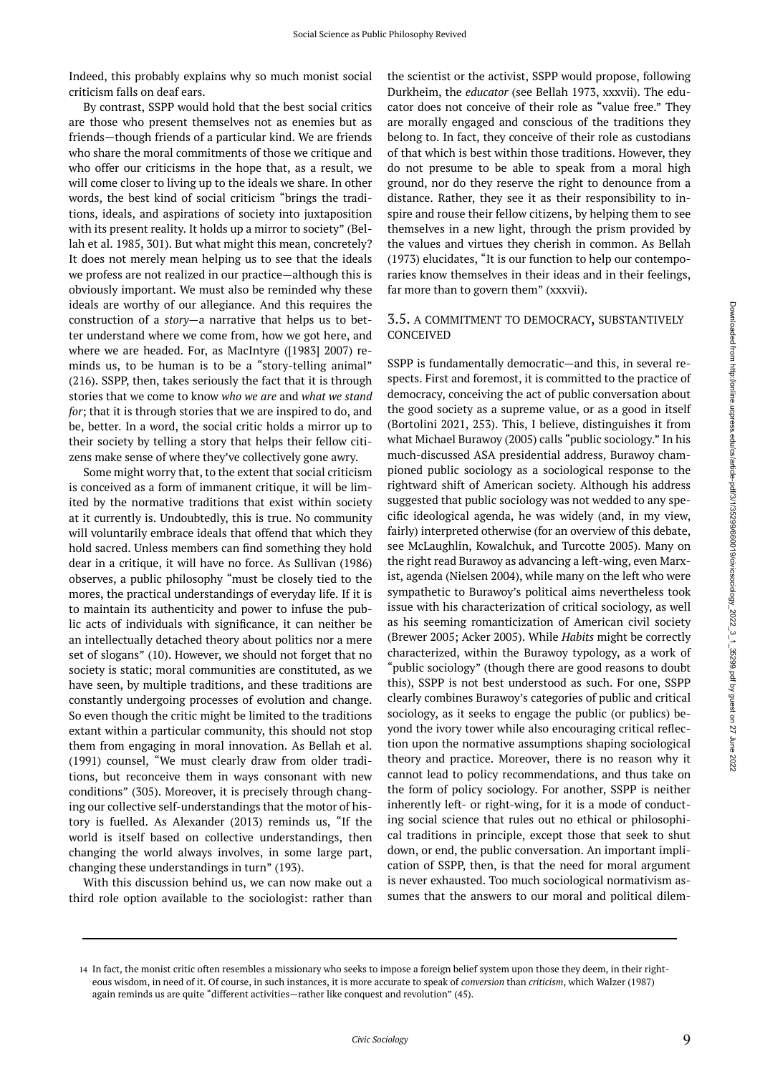Indeed, this probably explains why so much monist social criticism falls on deaf ears.

By contrast, SSPP would hold that the best social critics are those who present themselves not as enemies but as friends—though friends of a particular kind. We are friends who share the moral commitments of those we critique and who offer our criticisms in the hope that, as a result, we will come closer to living up to the ideals we share. In other words, the best kind of social criticism "brings the traditions, ideals, and aspirations of society into juxtaposition with its present reality. It holds up a mirror to society" (Bellah et al. 1985, 301). But what might this mean, concretely? It does not merely mean helping us to see that the ideals we profess are not realized in our practice—although this is obviously important. We must also be reminded why these ideals are worthy of our allegiance. And this requires the construction of a *story*—a narrative that helps us to better understand where we come from, how we got here, and where we are headed. For, as MacIntyre ([1983] 2007) reminds us, to be human is to be a "story-telling animal" (216). SSPP, then, takes seriously the fact that it is through stories that we come to know *who we are* and *what we stand for*; that it is through stories that we are inspired to do, and be, better. In a word, the social critic holds a mirror up to their society by telling a story that helps their fellow citizens make sense of where they've collectively gone awry.

Some might worry that, to the extent that social criticism is conceived as a form of immanent critique, it will be limited by the normative traditions that exist within society at it currently is. Undoubtedly, this is true. No community will voluntarily embrace ideals that offend that which they hold sacred. Unless members can find something they hold dear in a critique, it will have no force. As Sullivan (1986) observes, a public philosophy "must be closely tied to the mores, the practical understandings of everyday life. If it is to maintain its authenticity and power to infuse the public acts of individuals with significance, it can neither be an intellectually detached theory about politics nor a mere set of slogans" (10). However, we should not forget that no society is static; moral communities are constituted, as we have seen, by multiple traditions, and these traditions are constantly undergoing processes of evolution and change. So even though the critic might be limited to the traditions extant within a particular community, this should not stop them from engaging in moral innovation. As Bellah et al. (1991) counsel, "We must clearly draw from older traditions, but reconceive them in ways consonant with new conditions" (305). Moreover, it is precisely through changing our collective self-understandings that the motor of history is fuelled. As Alexander (2013) reminds us, "If the world is itself based on collective understandings, then changing the world always involves, in some large part, changing these understandings in turn" (193).

With this discussion behind us, we can now make out a third role option available to the sociologist: rather than the scientist or the activist, SSPP would propose, following Durkheim, the *educator* (see Bellah 1973, xxxvii). The educator does not conceive of their role as "value free." They are morally engaged and conscious of the traditions they belong to. In fact, they conceive of their role as custodians of that which is best within those traditions. However, they do not presume to be able to speak from a moral high ground, nor do they reserve the right to denounce from a distance. Rather, they see it as their responsibility to inspire and rouse their fellow citizens, by helping them to see themselves in a new light, through the prism provided by the values and virtues they cherish in common. As Bellah (1973) elucidates, "It is our function to help our contemporaries know themselves in their ideas and in their feelings, far more than to govern them" (xxxvii).

#### 3.5. A COMMITMENT TO DEMOCRACY, SUBSTANTIVELY CONCEIVED

SSPP is fundamentally democratic—and this, in several respects. First and foremost, it is committed to the practice of democracy, conceiving the act of public conversation about the good society as a supreme value, or as a good in itself (Bortolini 2021, 253). This, I believe, distinguishes it from what Michael Burawoy (2005) calls "public sociology." In his much-discussed ASA presidential address, Burawoy championed public sociology as a sociological response to the rightward shift of American society. Although his address suggested that public sociology was not wedded to any specific ideological agenda, he was widely (and, in my view, fairly) interpreted otherwise (for an overview of this debate, see McLaughlin, Kowalchuk, and Turcotte 2005). Many on the right read Burawoy as advancing a left-wing, even Marxist, agenda (Nielsen 2004), while many on the left who were sympathetic to Burawoy's political aims nevertheless took issue with his characterization of critical sociology, as well as his seeming romanticization of American civil society (Brewer 2005; Acker 2005). While *Habits* might be correctly characterized, within the Burawoy typology, as a work of "public sociology" (though there are good reasons to doubt this), SSPP is not best understood as such. For one, SSPP clearly combines Burawoy's categories of public and critical sociology, as it seeks to engage the public (or publics) beyond the ivory tower while also encouraging critical reflection upon the normative assumptions shaping sociological theory and practice. Moreover, there is no reason why it cannot lead to policy recommendations, and thus take on the form of policy sociology. For another, SSPP is neither inherently left- or right-wing, for it is a mode of conducting social science that rules out no ethical or philosophical traditions in principle, except those that seek to shut down, or end, the public conversation. An important implication of SSPP, then, is that the need for moral argument is never exhausted. Too much sociological normativism assumes that the answers to our moral and political dilem-

<sup>14</sup> In fact, the monist critic often resembles a missionary who seeks to impose a foreign belief system upon those they deem, in their righteous wisdom, in need of it. Of course, in such instances, it is more accurate to speak of *conversion* than *criticism*, which Walzer (1987) again reminds us are quite "different activities—rather like conquest and revolution" (45).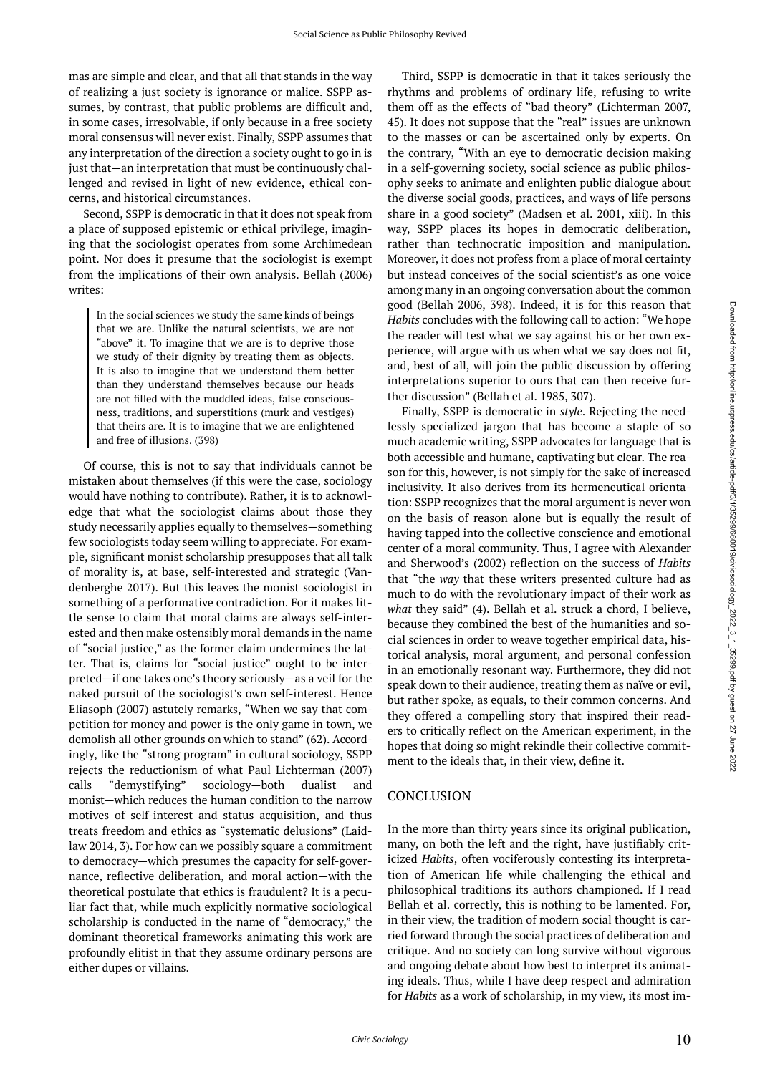mas are simple and clear, and that all that stands in the way of realizing a just society is ignorance or malice. SSPP assumes, by contrast, that public problems are difficult and, in some cases, irresolvable, if only because in a free society moral consensus will never exist. Finally, SSPP assumes that any interpretation of the direction a society ought to go in is just that—an interpretation that must be continuously challenged and revised in light of new evidence, ethical concerns, and historical circumstances.

Second, SSPP is democratic in that it does not speak from a place of supposed epistemic or ethical privilege, imagining that the sociologist operates from some Archimedean point. Nor does it presume that the sociologist is exempt from the implications of their own analysis. Bellah (2006) writes:

In the social sciences we study the same kinds of beings that we are. Unlike the natural scientists, we are not "above" it. To imagine that we are is to deprive those we study of their dignity by treating them as objects. It is also to imagine that we understand them better than they understand themselves because our heads are not filled with the muddled ideas, false consciousness, traditions, and superstitions (murk and vestiges) that theirs are. It is to imagine that we are enlightened and free of illusions. (398)

Of course, this is not to say that individuals cannot be mistaken about themselves (if this were the case, sociology would have nothing to contribute). Rather, it is to acknowledge that what the sociologist claims about those they study necessarily applies equally to themselves—something few sociologists today seem willing to appreciate. For example, significant monist scholarship presupposes that all talk of morality is, at base, self-interested and strategic (Vandenberghe 2017). But this leaves the monist sociologist in something of a performative contradiction. For it makes little sense to claim that moral claims are always self-interested and then make ostensibly moral demands in the name of "social justice," as the former claim undermines the latter. That is, claims for "social justice" ought to be interpreted—if one takes one's theory seriously—as a veil for the naked pursuit of the sociologist's own self-interest. Hence Eliasoph (2007) astutely remarks, "When we say that competition for money and power is the only game in town, we demolish all other grounds on which to stand" (62). Accordingly, like the "strong program" in cultural sociology, SSPP rejects the reductionism of what Paul Lichterman (2007) calls "demystifying" sociology—both dualist and monist—which reduces the human condition to the narrow motives of self-interest and status acquisition, and thus treats freedom and ethics as "systematic delusions" (Laidlaw 2014, 3). For how can we possibly square a commitment to democracy—which presumes the capacity for self-governance, reflective deliberation, and moral action—with the theoretical postulate that ethics is fraudulent? It is a peculiar fact that, while much explicitly normative sociological scholarship is conducted in the name of "democracy," the dominant theoretical frameworks animating this work are profoundly elitist in that they assume ordinary persons are either dupes or villains.

Third, SSPP is democratic in that it takes seriously the rhythms and problems of ordinary life, refusing to write them off as the effects of "bad theory" (Lichterman 2007, 45). It does not suppose that the "real" issues are unknown to the masses or can be ascertained only by experts. On the contrary, "With an eye to democratic decision making in a self-governing society, social science as public philosophy seeks to animate and enlighten public dialogue about the diverse social goods, practices, and ways of life persons share in a good society" (Madsen et al. 2001, xiii). In this way, SSPP places its hopes in democratic deliberation, rather than technocratic imposition and manipulation. Moreover, it does not profess from a place of moral certainty but instead conceives of the social scientist's as one voice among many in an ongoing conversation about the common good (Bellah 2006, 398). Indeed, it is for this reason that *Habits* concludes with the following call to action: "We hope the reader will test what we say against his or her own experience, will argue with us when what we say does not fit, and, best of all, will join the public discussion by offering interpretations superior to ours that can then receive further discussion" (Bellah et al. 1985, 307).

Finally, SSPP is democratic in *style*. Rejecting the needlessly specialized jargon that has become a staple of so much academic writing, SSPP advocates for language that is both accessible and humane, captivating but clear. The reason for this, however, is not simply for the sake of increased inclusivity. It also derives from its hermeneutical orientation: SSPP recognizes that the moral argument is never won on the basis of reason alone but is equally the result of having tapped into the collective conscience and emotional center of a moral community. Thus, I agree with Alexander and Sherwood's (2002) reflection on the success of *Habits*  that "the *way* that these writers presented culture had as much to do with the revolutionary impact of their work as *what* they said" (4). Bellah et al. struck a chord, I believe, because they combined the best of the humanities and social sciences in order to weave together empirical data, historical analysis, moral argument, and personal confession in an emotionally resonant way. Furthermore, they did not speak down to their audience, treating them as naïve or evil, but rather spoke, as equals, to their common concerns. And they offered a compelling story that inspired their readers to critically reflect on the American experiment, in the hopes that doing so might rekindle their collective commitment to the ideals that, in their view, define it.

#### **CONCLUSION**

In the more than thirty years since its original publication, many, on both the left and the right, have justifiably criticized *Habits*, often vociferously contesting its interpretation of American life while challenging the ethical and philosophical traditions its authors championed. If I read Bellah et al. correctly, this is nothing to be lamented. For, in their view, the tradition of modern social thought is carried forward through the social practices of deliberation and critique. And no society can long survive without vigorous and ongoing debate about how best to interpret its animating ideals. Thus, while I have deep respect and admiration for *Habits* as a work of scholarship, in my view, its most im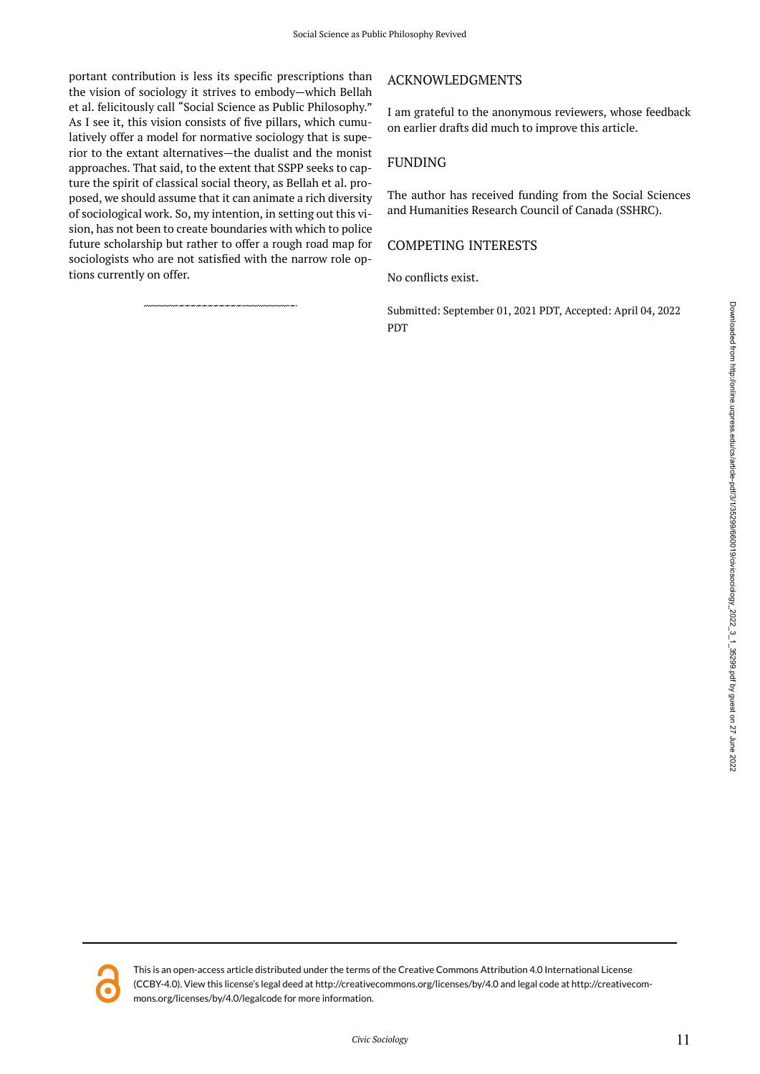portant contribution is less its specific prescriptions than the vision of sociology it strives to embody—which Bellah et al. felicitously call "Social Science as Public Philosophy." As I see it, this vision consists of five pillars, which cumulatively offer a model for normative sociology that is superior to the extant alternatives—the dualist and the monist approaches. That said, to the extent that SSPP seeks to capture the spirit of classical social theory, as Bellah et al. proposed, we should assume that it can animate a rich diversity of sociological work. So, my intention, in setting out this vision, has not been to create boundaries with which to police future scholarship but rather to offer a rough road map for sociologists who are not satisfied with the narrow role options currently on offer.

### ACKNOWLEDGMENTS

I am grateful to the anonymous reviewers, whose feedback on earlier drafts did much to improve this article.

### FUNDING

The author has received funding from the Social Sciences and Humanities Research Council of Canada (SSHRC).

### COMPETING INTERESTS

No conflicts exist.

Submitted: September 01, 2021 PDT, Accepted: April 04, 2022 PDT



This is an open-access article distributed under the terms of the Creative Commons Attribution 4.0 International License (CCBY-4.0). View this license's legal deed at http://creativecommons.org/licenses/by/4.0 and legal code at http://creativecommons.org/licenses/by/4.0/legalcode for more information.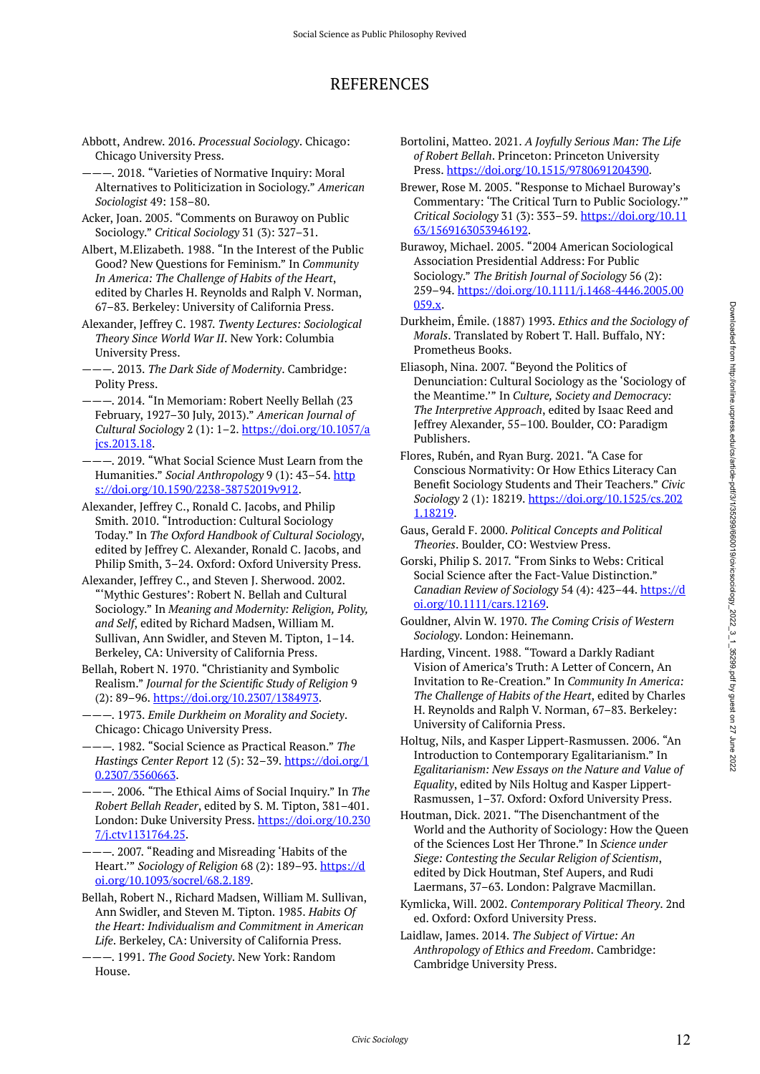## REFERENCES

- Abbott, Andrew. 2016. *Processual Sociology*. Chicago: Chicago University Press.
- ———. 2018. "Varieties of Normative Inquiry: Moral Alternatives to Politicization in Sociology." *American Sociologist* 49: 158–80.
- Acker, Joan. 2005. "Comments on Burawoy on Public Sociology." *Critical Sociology* 31 (3): 327–31.
- Albert, M.Elizabeth. 1988. "In the Interest of the Public Good? New Questions for Feminism." In *Community In America: The Challenge of Habits of the Heart*, edited by Charles H. Reynolds and Ralph V. Norman, 67–83. Berkeley: University of California Press.
- Alexander, Jeffrey C. 1987. *Twenty Lectures: Sociological Theory Since World War II*. New York: Columbia University Press.
- ———. 2013. *The Dark Side of Modernity*. Cambridge: Polity Press.
- ———. 2014. "In Memoriam: Robert Neelly Bellah (23 February, 1927–30 July, 2013)." *American Journal of Cultural Sociology* 2 (1): 1–2. [https://doi.org/10.1057/a](https://doi.org/10.1057/ajcs.2013.18) [jcs.2013.18](https://doi.org/10.1057/ajcs.2013.18).
- $-$ . 2019. "What Social Science Must Learn from the Humanities." *Social Anthropology* 9 (1): 43-54. [http](https://doi.org/10.1590/2238-38752019v912) [s://doi.org/10.1590/2238-38752019v912.](https://doi.org/10.1590/2238-38752019v912)
- Alexander, Jeffrey C., Ronald C. Jacobs, and Philip Smith. 2010. "Introduction: Cultural Sociology Today." In *The Oxford Handbook of Cultural Sociology*, edited by Jeffrey C. Alexander, Ronald C. Jacobs, and Philip Smith, 3–24. Oxford: Oxford University Press.
- Alexander, Jeffrey C., and Steven J. Sherwood. 2002. "'Mythic Gestures': Robert N. Bellah and Cultural Sociology." In *Meaning and Modernity: Religion, Polity, and Self*, edited by Richard Madsen, William M. Sullivan, Ann Swidler, and Steven M. Tipton, 1–14. Berkeley, CA: University of California Press.
- Bellah, Robert N. 1970. "Christianity and Symbolic Realism." *Journal for the Scientific Study of Religion* 9 (2): 89–96. [https://doi.org/10.2307/1384973.](https://doi.org/10.2307/1384973)
- ———. 1973. *Emile Durkheim on Morality and Society*. Chicago: Chicago University Press.
- ———. 1982. "Social Science as Practical Reason." *The Hastings Center Report* 12 (5): 32–39. [https://doi.org/1](https://doi.org/10.2307/3560663) [0.2307/3560663.](https://doi.org/10.2307/3560663)
- ———. 2006. "The Ethical Aims of Social Inquiry." In *The Robert Bellah Reader*, edited by S. M. Tipton, 381–401. London: Duke University Press. [https://doi.org/10.230](https://doi.org/10.2307/j.ctv1131764.25) [7/j.ctv1131764.25](https://doi.org/10.2307/j.ctv1131764.25).
- ———. 2007. "Reading and Misreading 'Habits of the Heart.'" *Sociology of Religion* 68 (2): 189–93. [https://d](https://doi.org/10.1093/socrel/68.2.189) [oi.org/10.1093/socrel/68.2.189](https://doi.org/10.1093/socrel/68.2.189).
- Bellah, Robert N., Richard Madsen, William M. Sullivan, Ann Swidler, and Steven M. Tipton. 1985. *Habits Of the Heart: Individualism and Commitment in American Life*. Berkeley, CA: University of California Press.
- ———. 1991. *The Good Society*. New York: Random House.
- Bortolini, Matteo. 2021. *A Joyfully Serious Man: The Life of Robert Bellah*. Princeton: Princeton University Press.<https://doi.org/10.1515/9780691204390>.
- Brewer, Rose M. 2005. "Response to Michael Buroway's Commentary: 'The Critical Turn to Public Sociology.'" *Critical Sociology* 31 (3): 353–59. [https://doi.org/10.11](https://doi.org/10.1163/1569163053946192) [63/1569163053946192.](https://doi.org/10.1163/1569163053946192)
- Burawoy, Michael. 2005. "2004 American Sociological Association Presidential Address: For Public Sociology." *The British Journal of Sociology* 56 (2): 259–94. [https://doi.org/10.1111/j.1468-4446.2005.00](https://doi.org/10.1111/j.1468-4446.2005.00059.x) [059.x.](https://doi.org/10.1111/j.1468-4446.2005.00059.x)
- Durkheim, Émile. (1887) 1993. *Ethics and the Sociology of Morals*. Translated by Robert T. Hall. Buffalo, NY: Prometheus Books.
- Eliasoph, Nina. 2007. "Beyond the Politics of Denunciation: Cultural Sociology as the 'Sociology of the Meantime.'" In *Culture, Society and Democracy: The Interpretive Approach*, edited by Isaac Reed and Jeffrey Alexander, 55–100. Boulder, CO: Paradigm Publishers.
- Flores, Rubén, and Ryan Burg. 2021. "A Case for Conscious Normativity: Or How Ethics Literacy Can Benefit Sociology Students and Their Teachers." *Civic Sociology* 2 (1): 18219. [https://doi.org/10.1525/cs.202](https://doi.org/10.1525/cs.2021.18219) [1.18219](https://doi.org/10.1525/cs.2021.18219).
- Gaus, Gerald F. 2000. *Political Concepts and Political Theories*. Boulder, CO: Westview Press.
- Gorski, Philip S. 2017. "From Sinks to Webs: Critical Social Science after the Fact-Value Distinction." *Canadian Review of Sociology* 54 (4): 423–44. [https://d](https://doi.org/10.1111/cars.12169) [oi.org/10.1111/cars.12169.](https://doi.org/10.1111/cars.12169)
- Gouldner, Alvin W. 1970. *The Coming Crisis of Western Sociology*. London: Heinemann.
- Harding, Vincent. 1988. "Toward a Darkly Radiant Vision of America's Truth: A Letter of Concern, An Invitation to Re-Creation." In *Community In America: The Challenge of Habits of the Heart*, edited by Charles H. Reynolds and Ralph V. Norman, 67–83. Berkeley: University of California Press.
- Holtug, Nils, and Kasper Lippert-Rasmussen. 2006. "An Introduction to Contemporary Egalitarianism." In *Egalitarianism: New Essays on the Nature and Value of Equality*, edited by Nils Holtug and Kasper Lippert-Rasmussen, 1–37. Oxford: Oxford University Press.
- Houtman, Dick. 2021. "The Disenchantment of the World and the Authority of Sociology: How the Queen of the Sciences Lost Her Throne." In *Science under Siege: Contesting the Secular Religion of Scientism*, edited by Dick Houtman, Stef Aupers, and Rudi Laermans, 37–63. London: Palgrave Macmillan.
- Kymlicka, Will. 2002. *Contemporary Political Theory*. 2nd ed. Oxford: Oxford University Press.
- Laidlaw, James. 2014. *The Subject of Virtue: An Anthropology of Ethics and Freedom*. Cambridge: Cambridge University Press.